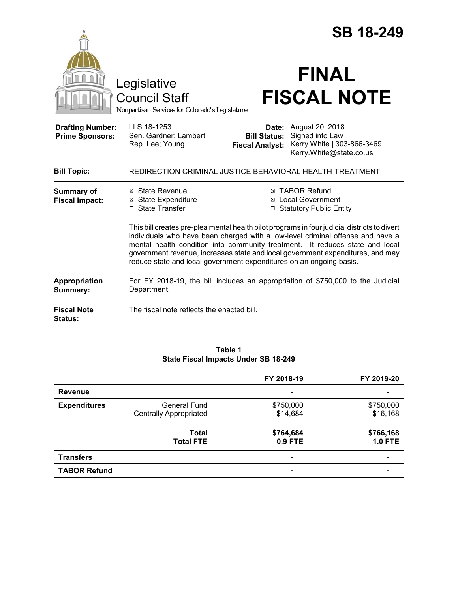|                                                   |                                                                                                                                                                                                                                                                                                                                                                                                                            |                                               | <b>SB 18-249</b>                                                                                         |  |
|---------------------------------------------------|----------------------------------------------------------------------------------------------------------------------------------------------------------------------------------------------------------------------------------------------------------------------------------------------------------------------------------------------------------------------------------------------------------------------------|-----------------------------------------------|----------------------------------------------------------------------------------------------------------|--|
|                                                   | Legislative<br><b>Council Staff</b><br>Nonpartisan Services for Colorado's Legislature                                                                                                                                                                                                                                                                                                                                     |                                               | <b>FINAL</b><br><b>FISCAL NOTE</b>                                                                       |  |
| <b>Drafting Number:</b><br><b>Prime Sponsors:</b> | LLS 18-1253<br>Sen. Gardner; Lambert<br>Rep. Lee; Young                                                                                                                                                                                                                                                                                                                                                                    | <b>Bill Status:</b><br><b>Fiscal Analyst:</b> | <b>Date:</b> August 20, 2018<br>Signed into Law<br>Kerry White   303-866-3469<br>Kerry.White@state.co.us |  |
| <b>Bill Topic:</b>                                | REDIRECTION CRIMINAL JUSTICE BEHAVIORAL HEALTH TREATMENT                                                                                                                                                                                                                                                                                                                                                                   |                                               |                                                                                                          |  |
| <b>Summary of</b><br><b>Fiscal Impact:</b>        | ⊠ State Revenue<br><b>⊠</b> State Expenditure<br>□ State Transfer                                                                                                                                                                                                                                                                                                                                                          |                                               | ⊠ TABOR Refund<br>⊠ Local Government<br>□ Statutory Public Entity                                        |  |
|                                                   | This bill creates pre-plea mental health pilot programs in four judicial districts to divert<br>individuals who have been charged with a low-level criminal offense and have a<br>mental health condition into community treatment.<br>It reduces state and local<br>government revenue, increases state and local government expenditures, and may<br>reduce state and local government expenditures on an ongoing basis. |                                               |                                                                                                          |  |
| Appropriation<br>Summary:                         | Department.                                                                                                                                                                                                                                                                                                                                                                                                                |                                               | For FY 2018-19, the bill includes an appropriation of \$750,000 to the Judicial                          |  |
| <b>Fiscal Note</b><br><b>Status:</b>              | The fiscal note reflects the enacted bill.                                                                                                                                                                                                                                                                                                                                                                                 |                                               |                                                                                                          |  |

## **Table 1 State Fiscal Impacts Under SB 18-249**

|                     |                                                      | FY 2018-19            | FY 2019-20                  |
|---------------------|------------------------------------------------------|-----------------------|-----------------------------|
| <b>Revenue</b>      |                                                      |                       |                             |
| <b>Expenditures</b> | <b>General Fund</b><br><b>Centrally Appropriated</b> | \$750,000<br>\$14,684 | \$750,000<br>\$16,168       |
|                     | <b>Total</b><br><b>Total FTE</b>                     | \$764,684<br>0.9 FTE  | \$766,168<br><b>1.0 FTE</b> |
| <b>Transfers</b>    |                                                      |                       |                             |
| <b>TABOR Refund</b> |                                                      |                       |                             |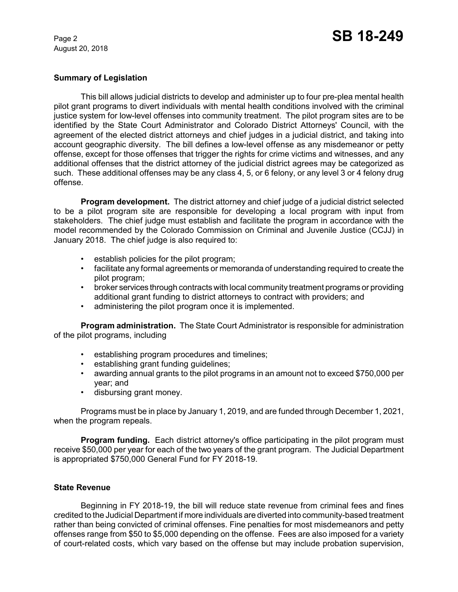# **Summary of Legislation**

This bill allows judicial districts to develop and administer up to four pre-plea mental health pilot grant programs to divert individuals with mental health conditions involved with the criminal justice system for low-level offenses into community treatment. The pilot program sites are to be identified by the State Court Administrator and Colorado District Attorneys' Council, with the agreement of the elected district attorneys and chief judges in a judicial district, and taking into account geographic diversity. The bill defines a low-level offense as any misdemeanor or petty offense, except for those offenses that trigger the rights for crime victims and witnesses, and any additional offenses that the district attorney of the judicial district agrees may be categorized as such. These additional offenses may be any class 4, 5, or 6 felony, or any level 3 or 4 felony drug offense.

**Program development.** The district attorney and chief judge of a judicial district selected to be a pilot program site are responsible for developing a local program with input from stakeholders. The chief judge must establish and facilitate the program in accordance with the model recommended by the Colorado Commission on Criminal and Juvenile Justice (CCJJ) in January 2018. The chief judge is also required to:

- establish policies for the pilot program;
- facilitate any formal agreements or memoranda of understanding required to create the pilot program;
- broker services through contracts with local community treatment programs or providing additional grant funding to district attorneys to contract with providers; and
- administering the pilot program once it is implemented.

**Program administration.** The State Court Administrator is responsible for administration of the pilot programs, including

- establishing program procedures and timelines;
- establishing grant funding guidelines;
- awarding annual grants to the pilot programs in an amount not to exceed \$750,000 per year; and
- disbursing grant money.

Programs must be in place by January 1, 2019, and are funded through December 1, 2021, when the program repeals.

**Program funding.** Each district attorney's office participating in the pilot program must receive \$50,000 per year for each of the two years of the grant program. The Judicial Department is appropriated \$750,000 General Fund for FY 2018-19.

## **State Revenue**

Beginning in FY 2018-19, the bill will reduce state revenue from criminal fees and fines credited to the Judicial Department if more individuals are diverted into community-based treatment rather than being convicted of criminal offenses. Fine penalties for most misdemeanors and petty offenses range from \$50 to \$5,000 depending on the offense. Fees are also imposed for a variety of court-related costs, which vary based on the offense but may include probation supervision,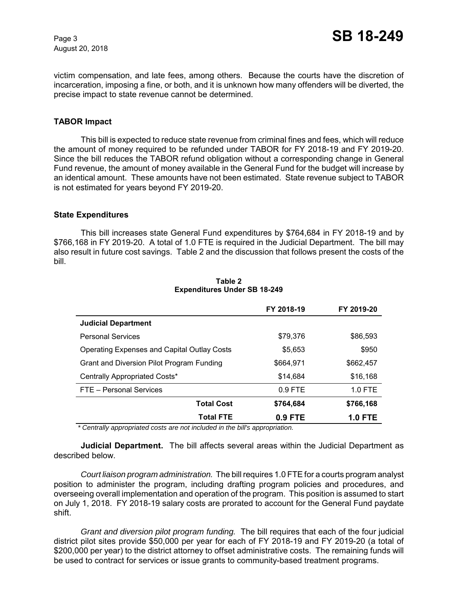victim compensation, and late fees, among others. Because the courts have the discretion of incarceration, imposing a fine, or both, and it is unknown how many offenders will be diverted, the precise impact to state revenue cannot be determined.

## **TABOR Impact**

This bill is expected to reduce state revenue from criminal fines and fees, which will reduce the amount of money required to be refunded under TABOR for FY 2018-19 and FY 2019-20. Since the bill reduces the TABOR refund obligation without a corresponding change in General Fund revenue, the amount of money available in the General Fund for the budget will increase by an identical amount. These amounts have not been estimated. State revenue subject to TABOR is not estimated for years beyond FY 2019-20.

#### **State Expenditures**

This bill increases state General Fund expenditures by \$764,684 in FY 2018-19 and by \$766,168 in FY 2019-20. A total of 1.0 FTE is required in the Judicial Department. The bill may also result in future cost savings. Table 2 and the discussion that follows present the costs of the bill.

|                                                    | FY 2018-19 | FY 2019-20     |
|----------------------------------------------------|------------|----------------|
| <b>Judicial Department</b>                         |            |                |
| <b>Personal Services</b>                           | \$79,376   | \$86,593       |
| <b>Operating Expenses and Capital Outlay Costs</b> | \$5,653    | \$950          |
| Grant and Diversion Pilot Program Funding          | \$664,971  | \$662,457      |
| Centrally Appropriated Costs*                      | \$14,684   | \$16,168       |
| FTE - Personal Services                            | $0.9$ FTE  | $1.0$ FTE      |
| <b>Total Cost</b>                                  | \$764,684  | \$766,168      |
| <b>Total FTE</b>                                   | 0.9 FTE    | <b>1.0 FTE</b> |

#### **Table 2 Expenditures Under SB 18-249**

 *\* Centrally appropriated costs are not included in the bill's appropriation.*

**Judicial Department.** The bill affects several areas within the Judicial Department as described below.

*Court liaison program administration.*The bill requires 1.0 FTE for a courts program analyst position to administer the program, including drafting program policies and procedures, and overseeing overall implementation and operation of the program. This position is assumed to start on July 1, 2018. FY 2018-19 salary costs are prorated to account for the General Fund paydate shift.

*Grant and diversion pilot program funding.* The bill requires that each of the four judicial district pilot sites provide \$50,000 per year for each of FY 2018-19 and FY 2019-20 (a total of \$200,000 per year) to the district attorney to offset administrative costs. The remaining funds will be used to contract for services or issue grants to community-based treatment programs.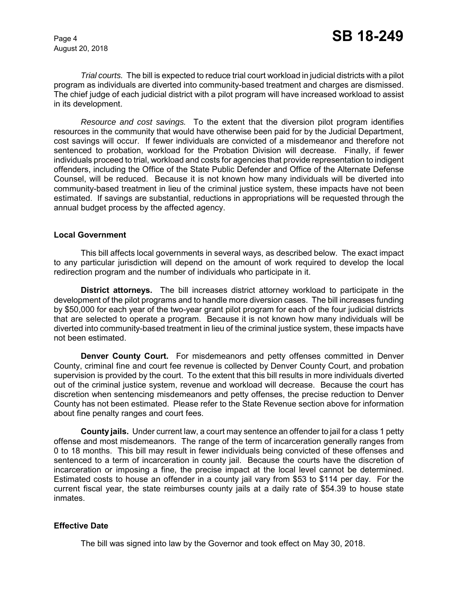*Trial courts.* The bill is expected to reduce trial court workload in judicial districts with a pilot program as individuals are diverted into community-based treatment and charges are dismissed. The chief judge of each judicial district with a pilot program will have increased workload to assist in its development.

*Resource and cost savings.* To the extent that the diversion pilot program identifies resources in the community that would have otherwise been paid for by the Judicial Department, cost savings will occur. If fewer individuals are convicted of a misdemeanor and therefore not sentenced to probation, workload for the Probation Division will decrease. Finally, if fewer individuals proceed to trial, workload and costs for agencies that provide representation to indigent offenders, including the Office of the State Public Defender and Office of the Alternate Defense Counsel, will be reduced. Because it is not known how many individuals will be diverted into community-based treatment in lieu of the criminal justice system, these impacts have not been estimated. If savings are substantial, reductions in appropriations will be requested through the annual budget process by the affected agency.

## **Local Government**

This bill affects local governments in several ways, as described below. The exact impact to any particular jurisdiction will depend on the amount of work required to develop the local redirection program and the number of individuals who participate in it.

**District attorneys.** The bill increases district attorney workload to participate in the development of the pilot programs and to handle more diversion cases. The bill increases funding by \$50,000 for each year of the two-year grant pilot program for each of the four judicial districts that are selected to operate a program. Because it is not known how many individuals will be diverted into community-based treatment in lieu of the criminal justice system, these impacts have not been estimated.

**Denver County Court.** For misdemeanors and petty offenses committed in Denver County, criminal fine and court fee revenue is collected by Denver County Court, and probation supervision is provided by the court. To the extent that this bill results in more individuals diverted out of the criminal justice system, revenue and workload will decrease. Because the court has discretion when sentencing misdemeanors and petty offenses, the precise reduction to Denver County has not been estimated. Please refer to the State Revenue section above for information about fine penalty ranges and court fees.

**County jails.** Under current law, a court may sentence an offender to jail for a class 1 petty offense and most misdemeanors. The range of the term of incarceration generally ranges from 0 to 18 months. This bill may result in fewer individuals being convicted of these offenses and sentenced to a term of incarceration in county jail. Because the courts have the discretion of incarceration or imposing a fine, the precise impact at the local level cannot be determined. Estimated costs to house an offender in a county jail vary from \$53 to \$114 per day. For the current fiscal year, the state reimburses county jails at a daily rate of \$54.39 to house state inmates.

# **Effective Date**

The bill was signed into law by the Governor and took effect on May 30, 2018.